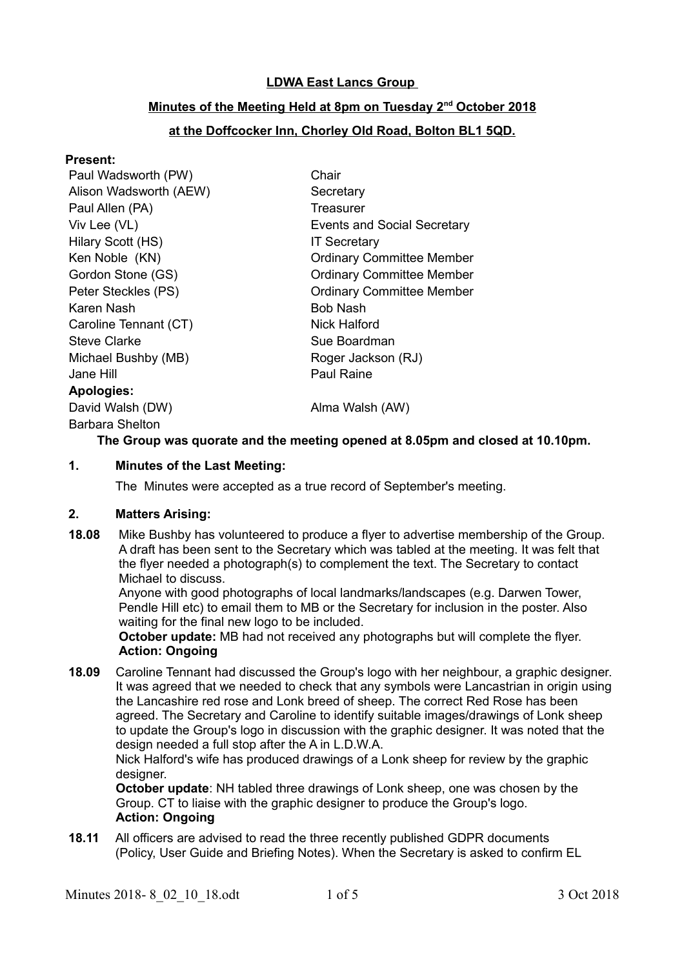# **LDWA East Lancs Group**

# **Minutes of the Meeting Held at 8pm on Tuesday 2nd October 2018**

# **at the Doffcocker Inn, Chorley Old Road, Bolton BL1 5QD.**

#### **Present:**

| Paul Wadsworth (PW)    | Chair                              |
|------------------------|------------------------------------|
| Alison Wadsworth (AEW) | Secretary                          |
| Paul Allen (PA)        | Treasurer                          |
| Viv Lee (VL)           | <b>Events and Social Secretary</b> |
| Hilary Scott (HS)      | <b>IT Secretary</b>                |
| Ken Noble (KN)         | <b>Ordinary Committee Member</b>   |
| Gordon Stone (GS)      | <b>Ordinary Committee Member</b>   |
| Peter Steckles (PS)    | <b>Ordinary Committee Member</b>   |
| Karen Nash             | Bob Nash                           |
| Caroline Tennant (CT)  | Nick Halford                       |
| <b>Steve Clarke</b>    | Sue Boardman                       |
| Michael Bushby (MB)    | Roger Jackson (RJ)                 |
| Jane Hill              | <b>Paul Raine</b>                  |
| <b>Apologies:</b>      |                                    |
| David Walsh (DW)       | Alma Walsh (AW)                    |
| <b>Barbara Shelton</b> |                                    |

## **The Group was quorate and the meeting opened at 8.05pm and closed at 10.10pm.**

#### **1. Minutes of the Last Meeting:**

The Minutes were accepted as a true record of September's meeting.

## **2. Matters Arising:**

**18.08** Mike Bushby has volunteered to produce a flyer to advertise membership of the Group. A draft has been sent to the Secretary which was tabled at the meeting. It was felt that the flyer needed a photograph(s) to complement the text. The Secretary to contact Michael to discuss.

Anyone with good photographs of local landmarks/landscapes (e.g. Darwen Tower, Pendle Hill etc) to email them to MB or the Secretary for inclusion in the poster. Also waiting for the final new logo to be included.

**October update:** MB had not received any photographs but will complete the flyer. **Action: Ongoing**

**18.09** Caroline Tennant had discussed the Group's logo with her neighbour, a graphic designer. It was agreed that we needed to check that any symbols were Lancastrian in origin using the Lancashire red rose and Lonk breed of sheep. The correct Red Rose has been agreed. The Secretary and Caroline to identify suitable images/drawings of Lonk sheep to update the Group's logo in discussion with the graphic designer. It was noted that the design needed a full stop after the A in L.D.W.A.

Nick Halford's wife has produced drawings of a Lonk sheep for review by the graphic designer.

**October update**: NH tabled three drawings of Lonk sheep, one was chosen by the Group. CT to liaise with the graphic designer to produce the Group's logo. **Action: Ongoing**

**18.11** All officers are advised to read the three recently published GDPR documents (Policy, User Guide and Briefing Notes). When the Secretary is asked to confirm EL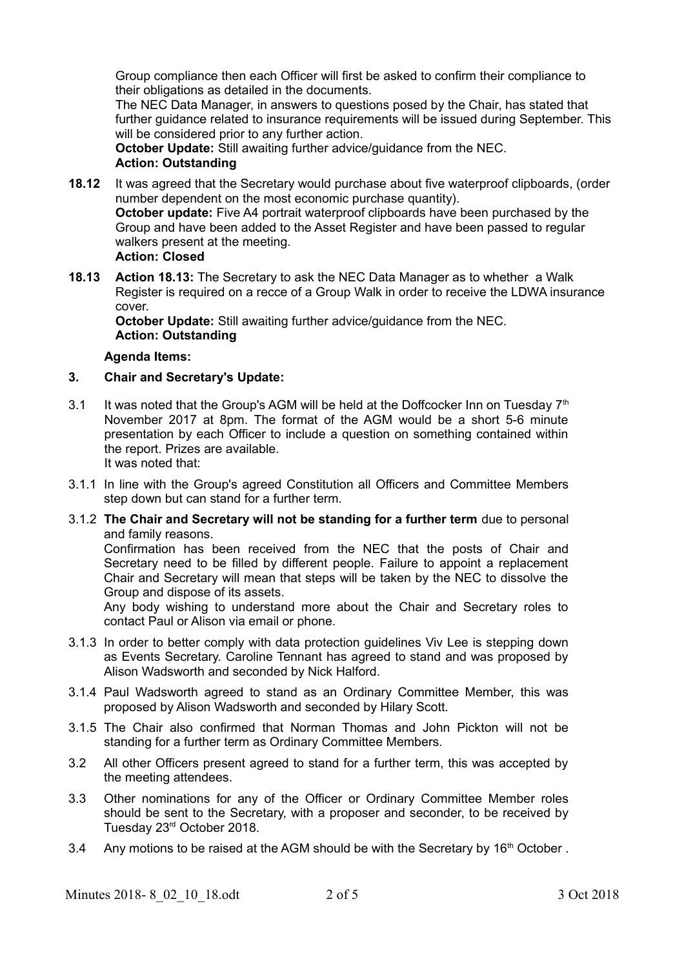Group compliance then each Officer will first be asked to confirm their compliance to their obligations as detailed in the documents.

The NEC Data Manager, in answers to questions posed by the Chair, has stated that further guidance related to insurance requirements will be issued during September. This will be considered prior to any further action.

**October Update:** Still awaiting further advice/guidance from the NEC. **Action: Outstanding**

- **18.12** It was agreed that the Secretary would purchase about five waterproof clipboards, (order number dependent on the most economic purchase quantity). **October update:** Five A4 portrait waterproof clipboards have been purchased by the Group and have been added to the Asset Register and have been passed to regular walkers present at the meeting. **Action: Closed**
- **18.13 Action 18.13:** The Secretary to ask the NEC Data Manager as to whether a Walk Register is required on a recce of a Group Walk in order to receive the LDWA insurance cover.

**October Update:** Still awaiting further advice/guidance from the NEC. **Action: Outstanding**

# **Agenda Items:**

- **3. Chair and Secretary's Update:**
- 3.1 It was noted that the Group's AGM will be held at the Doffcocker Inn on Tuesday  $7<sup>th</sup>$ November 2017 at 8pm. The format of the AGM would be a short 5-6 minute presentation by each Officer to include a question on something contained within the report. Prizes are available.

It was noted that:

- 3.1.1 In line with the Group's agreed Constitution all Officers and Committee Members step down but can stand for a further term.
- 3.1.2 **The Chair and Secretary will not be standing for a further term** due to personal and family reasons.

Confirmation has been received from the NEC that the posts of Chair and Secretary need to be filled by different people. Failure to appoint a replacement Chair and Secretary will mean that steps will be taken by the NEC to dissolve the Group and dispose of its assets.

Any body wishing to understand more about the Chair and Secretary roles to contact Paul or Alison via email or phone.

- 3.1.3 In order to better comply with data protection guidelines Viv Lee is stepping down as Events Secretary. Caroline Tennant has agreed to stand and was proposed by Alison Wadsworth and seconded by Nick Halford.
- 3.1.4 Paul Wadsworth agreed to stand as an Ordinary Committee Member, this was proposed by Alison Wadsworth and seconded by Hilary Scott.
- 3.1.5 The Chair also confirmed that Norman Thomas and John Pickton will not be standing for a further term as Ordinary Committee Members.
- 3.2 All other Officers present agreed to stand for a further term, this was accepted by the meeting attendees.
- 3.3 Other nominations for any of the Officer or Ordinary Committee Member roles should be sent to the Secretary, with a proposer and seconder, to be received by Tuesday 23rd October 2018.
- 3.4 Any motions to be raised at the AGM should be with the Secretary by  $16<sup>th</sup>$  October.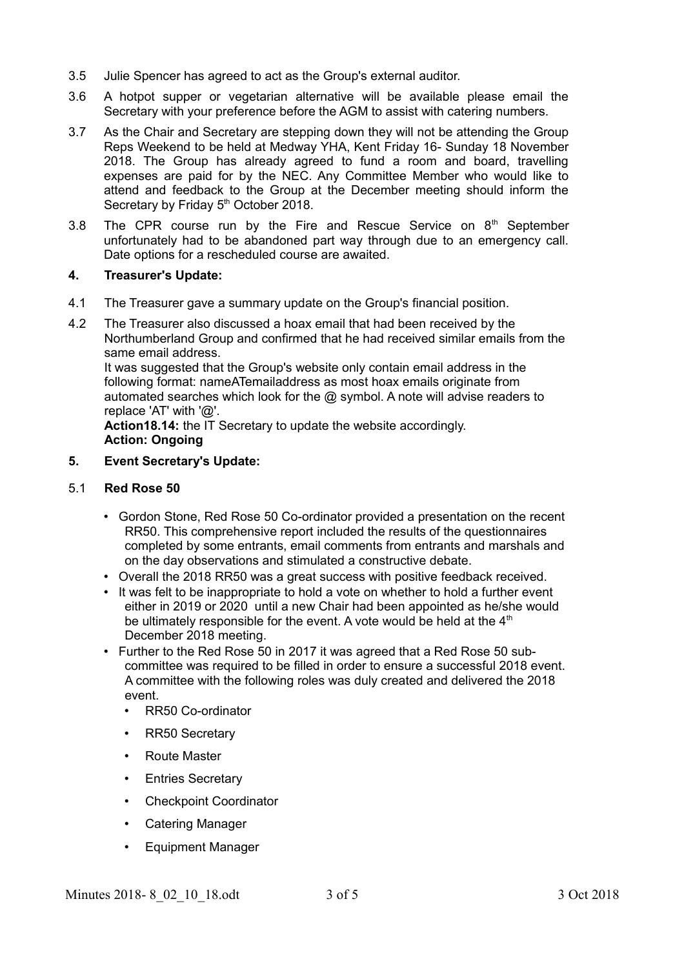- 3.5 Julie Spencer has agreed to act as the Group's external auditor.
- 3.6 A hotpot supper or vegetarian alternative will be available please email the Secretary with your preference before the AGM to assist with catering numbers.
- 3.7 As the Chair and Secretary are stepping down they will not be attending the Group Reps Weekend to be held at Medway YHA, Kent Friday 16- Sunday 18 November 2018. The Group has already agreed to fund a room and board, travelling expenses are paid for by the NEC. Any Committee Member who would like to attend and feedback to the Group at the December meeting should inform the Secretary by Friday 5<sup>th</sup> October 2018.
- 3.8 The CPR course run by the Fire and Rescue Service on  $8<sup>th</sup>$  September unfortunately had to be abandoned part way through due to an emergency call. Date options for a rescheduled course are awaited.

#### **4. Treasurer's Update:**

- 4.1 The Treasurer gave a summary update on the Group's financial position.
- 4.2 The Treasurer also discussed a hoax email that had been received by the Northumberland Group and confirmed that he had received similar emails from the same email address. It was suggested that the Group's website only contain email address in the

following format: nameATemailaddress as most hoax emails originate from automated searches which look for the @ symbol. A note will advise readers to replace 'AT' with '@'.

**Action18.14:** the IT Secretary to update the website accordingly. **Action: Ongoing**

**5. Event Secretary's Update:**

### 5.1 **Red Rose 50**

- Gordon Stone, Red Rose 50 Co-ordinator provided a presentation on the recent RR50. This comprehensive report included the results of the questionnaires completed by some entrants, email comments from entrants and marshals and on the day observations and stimulated a constructive debate.
- Overall the 2018 RR50 was a great success with positive feedback received.
- It was felt to be inappropriate to hold a vote on whether to hold a further event either in 2019 or 2020 until a new Chair had been appointed as he/she would be ultimately responsible for the event. A vote would be held at the  $4<sup>th</sup>$ December 2018 meeting.
- Further to the Red Rose 50 in 2017 it was agreed that a Red Rose 50 subcommittee was required to be filled in order to ensure a successful 2018 event. A committee with the following roles was duly created and delivered the 2018 event.
	- RR50 Co-ordinator
	- RR50 Secretary
	- Route Master
	- Entries Secretary
	- Checkpoint Coordinator
	- Catering Manager
	- Equipment Manager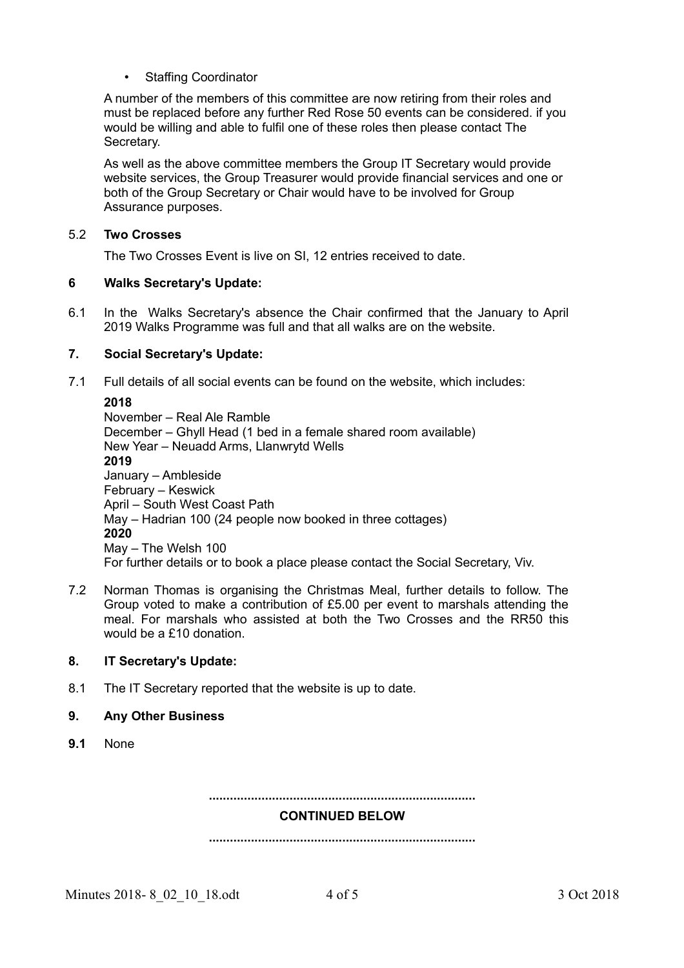Staffing Coordinator

A number of the members of this committee are now retiring from their roles and must be replaced before any further Red Rose 50 events can be considered. if you would be willing and able to fulfil one of these roles then please contact The Secretary.

As well as the above committee members the Group IT Secretary would provide website services, the Group Treasurer would provide financial services and one or both of the Group Secretary or Chair would have to be involved for Group Assurance purposes.

### 5.2 **Two Crosses**

The Two Crosses Event is live on SI, 12 entries received to date.

## **6 Walks Secretary's Update:**

6.1 In the Walks Secretary's absence the Chair confirmed that the January to April 2019 Walks Programme was full and that all walks are on the website.

## **7. Social Secretary's Update:**

7.1 Full details of all social events can be found on the website, which includes:

**2018**  November – Real Ale Ramble December – Ghyll Head (1 bed in a female shared room available) New Year – Neuadd Arms, Llanwrytd Wells **2019** January – Ambleside February – Keswick April – South West Coast Path May – Hadrian 100 (24 people now booked in three cottages) **2020** May – The Welsh 100 For further details or to book a place please contact the Social Secretary, Viv.

7.2 Norman Thomas is organising the Christmas Meal, further details to follow. The Group voted to make a contribution of £5.00 per event to marshals attending the meal. For marshals who assisted at both the Two Crosses and the RR50 this would be a £10 donation.

#### **8. IT Secretary's Update:**

- 8.1 The IT Secretary reported that the website is up to date.
- **9. Any Other Business**
- **9.1** None

**............................................................................**

#### **CONTINUED BELOW**

**............................................................................**

Minutes 2018- 8 02 10 18.odt 4 of 5 3 Oct 2018